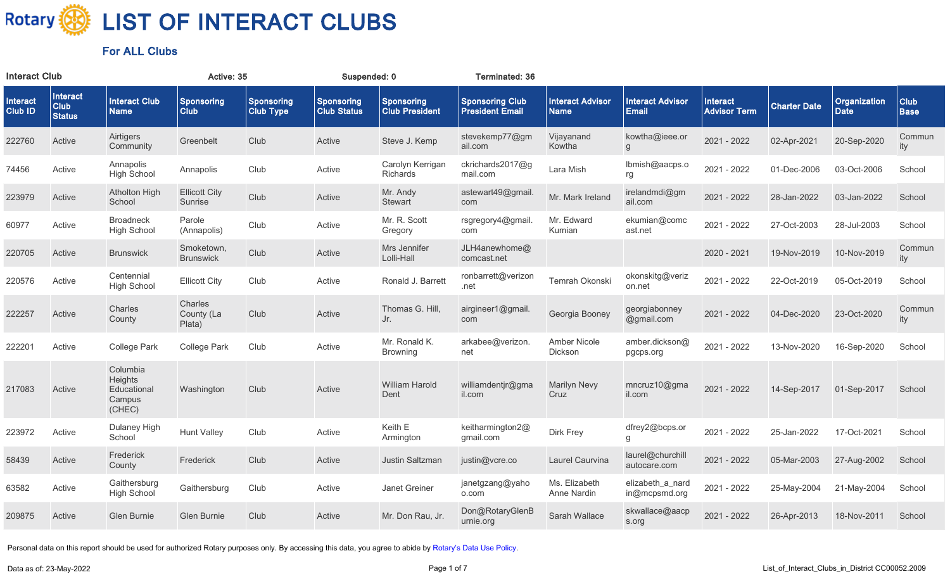

| <b>Interact Club</b> |                                   |                                                        | Active: 35                      |                                       | Suspended: 0                     |                                            | Terminated: 36                                   |                                        |                                         |                                 |                     |                             |                            |
|----------------------|-----------------------------------|--------------------------------------------------------|---------------------------------|---------------------------------------|----------------------------------|--------------------------------------------|--------------------------------------------------|----------------------------------------|-----------------------------------------|---------------------------------|---------------------|-----------------------------|----------------------------|
| Interact<br>Club ID  | Interact<br>Club<br><b>Status</b> | <b>Interact Club</b><br><b>Name</b>                    | Sponsoring<br><b>Club</b>       | <b>Sponsoring</b><br><b>Club Type</b> | Sponsoring<br><b>Club Status</b> | <b>Sponsoring</b><br><b>Club President</b> | <b>Sponsoring Club</b><br><b>President Email</b> | <b>Interact Advisor</b><br><b>Name</b> | <b>Interact Advisor</b><br><b>Email</b> | Interact<br><b>Advisor Term</b> | <b>Charter Date</b> | Organization<br><b>Date</b> | <b>Club</b><br><b>Base</b> |
| 222760               | Active                            | Airtigers<br>Community                                 | Greenbelt                       | Club                                  | Active                           | Steve J. Kemp                              | stevekemp77@gm<br>ail.com                        | Vijayanand<br>Kowtha                   | kowtha@ieee.or<br>g                     | 2021 - 2022                     | 02-Apr-2021         | 20-Sep-2020                 | Commun<br>ity              |
| 74456                | Active                            | Annapolis<br><b>High School</b>                        | Annapolis                       | Club                                  | Active                           | Carolyn Kerrigan<br>Richards               | ckrichards2017@g<br>mail.com                     | Lara Mish                              | lbmish@aacps.o<br>rg                    | 2021 - 2022                     | 01-Dec-2006         | 03-Oct-2006                 | School                     |
| 223979               | Active                            | <b>Atholton High</b><br>School                         | <b>Ellicott City</b><br>Sunrise | Club                                  | Active                           | Mr. Andy<br><b>Stewart</b>                 | astewart49@gmail.<br>com                         | Mr. Mark Ireland                       | irelandmdi@gm<br>ail.com                | 2021 - 2022                     | 28-Jan-2022         | 03-Jan-2022                 | School                     |
| 60977                | Active                            | <b>Broadneck</b><br><b>High School</b>                 | Parole<br>(Annapolis)           | Club                                  | Active                           | Mr. R. Scott<br>Gregory                    | rsgregory4@gmail.<br>com                         | Mr. Edward<br>Kumian                   | ekumian@comc<br>ast.net                 | 2021 - 2022                     | 27-Oct-2003         | 28-Jul-2003                 | School                     |
| 220705               | Active                            | <b>Brunswick</b>                                       | Smoketown,<br><b>Brunswick</b>  | Club                                  | Active                           | Mrs Jennifer<br>Lolli-Hall                 | JLH4anewhome@<br>comcast.net                     |                                        |                                         | 2020 - 2021                     | 19-Nov-2019         | 10-Nov-2019                 | Commun<br>ity              |
| 220576               | Active                            | Centennial<br><b>High School</b>                       | <b>Ellicott City</b>            | Club                                  | Active                           | Ronald J. Barrett                          | ronbarrett@verizon<br>.net                       | Temrah Okonski                         | okonskitg@veriz<br>on.net               | 2021 - 2022                     | 22-Oct-2019         | 05-Oct-2019                 | School                     |
| 222257               | Active                            | Charles<br>County                                      | Charles<br>County (La<br>Plata) | Club                                  | Active                           | Thomas G. Hill,<br>Jr.                     | airgineer1@gmail.<br>com                         | Georgia Booney                         | georgiabonney<br>@gmail.com             | 2021 - 2022                     | 04-Dec-2020         | 23-Oct-2020                 | Commun<br>ity              |
| 222201               | Active                            | <b>College Park</b>                                    | College Park                    | Club                                  | Active                           | Mr. Ronald K.<br><b>Browning</b>           | arkabee@verizon.<br>net                          | Amber Nicole<br>Dickson                | amber.dickson@<br>pgcps.org             | 2021 - 2022                     | 13-Nov-2020         | 16-Sep-2020                 | School                     |
| 217083               | Active                            | Columbia<br>Heights<br>Educational<br>Campus<br>(CHEC) | Washington                      | Club                                  | Active                           | <b>William Harold</b><br>Dent              | williamdentjr@gma<br>il.com                      | <b>Marilyn Nevy</b><br>Cruz            | mncruz10@gma<br>il.com                  | 2021 - 2022                     | 14-Sep-2017         | 01-Sep-2017                 | School                     |
| 223972               | Active                            | Dulaney High<br>School                                 | <b>Hunt Valley</b>              | Club                                  | Active                           | Keith E<br>Armington                       | keitharmington2@<br>gmail.com                    | Dirk Frey                              | dfrey2@bcps.or<br>g                     | 2021 - 2022                     | 25-Jan-2022         | 17-Oct-2021                 | School                     |
| 58439                | Active                            | Frederick<br>County                                    | Frederick                       | Club                                  | Active                           | Justin Saltzman                            | justin@vcre.co                                   | Laurel Caurvina                        | laurel@churchill<br>autocare.com        | 2021 - 2022                     | 05-Mar-2003         | 27-Aug-2002                 | School                     |
| 63582                | Active                            | Gaithersburg<br><b>High School</b>                     | Gaithersburg                    | Club                                  | Active                           | Janet Greiner                              | janetgzang@yaho<br>o.com                         | Ms. Elizabeth<br>Anne Nardin           | elizabeth_a_nard<br>in@mcpsmd.org       | 2021 - 2022                     | 25-May-2004         | 21-May-2004                 | School                     |
| 209875               | Active                            | <b>Glen Burnie</b>                                     | Glen Burnie                     | Club                                  | Active                           | Mr. Don Rau, Jr.                           | Don@RotaryGlenB<br>urnie.org                     | Sarah Wallace                          | skwallace@aacp<br>s.org                 | 2021 - 2022                     | 26-Apr-2013         | 18-Nov-2011                 | School                     |
|                      |                                   |                                                        |                                 |                                       |                                  |                                            |                                                  |                                        |                                         |                                 |                     |                             |                            |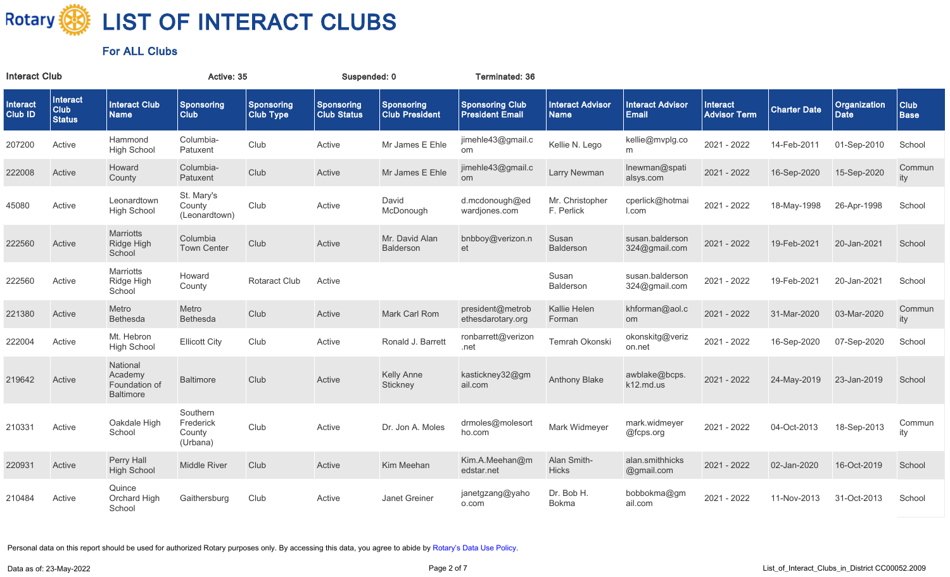

| <b>Interact Club</b>       |                                   |                                                          | Active: 35                                  |                                | Suspended: 0                            |                                            | Terminated: 36                                   |                                        |                                         |                                 |                     |                                    |                     |
|----------------------------|-----------------------------------|----------------------------------------------------------|---------------------------------------------|--------------------------------|-----------------------------------------|--------------------------------------------|--------------------------------------------------|----------------------------------------|-----------------------------------------|---------------------------------|---------------------|------------------------------------|---------------------|
| Interact<br><b>Club ID</b> | Interact<br>Club<br><b>Status</b> | <b>Interact Club</b><br><b>Name</b>                      | <b>Sponsoring</b><br><b>Club</b>            | Sponsoring<br><b>Club Type</b> | <b>Sponsoring</b><br><b>Club Status</b> | <b>Sponsoring</b><br><b>Club President</b> | <b>Sponsoring Club</b><br><b>President Email</b> | <b>Interact Advisor</b><br><b>Name</b> | <b>Interact Advisor</b><br><b>Email</b> | Interact<br><b>Advisor Term</b> | <b>Charter Date</b> | <b>Organization</b><br><b>Date</b> | Club<br><b>Base</b> |
| 207200                     | Active                            | Hammond<br><b>High School</b>                            | Columbia-<br>Patuxent                       | Club                           | Active                                  | Mr James E Ehle                            | jimehle43@gmail.c<br>om                          | Kellie N. Lego                         | kellie@mvplg.co<br>m                    | 2021 - 2022                     | 14-Feb-2011         | 01-Sep-2010                        | School              |
| 222008                     | Active                            | Howard<br>County                                         | Columbia-<br>Patuxent                       | Club                           | Active                                  | Mr James E Ehle                            | jimehle43@gmail.c<br><b>om</b>                   | Larry Newman                           | Inewman@spati<br>alsys.com              | 2021 - 2022                     | 16-Sep-2020         | 15-Sep-2020                        | Commun<br>ity       |
| 45080                      | Active                            | Leonardtown<br><b>High School</b>                        | St. Mary's<br>County<br>(Leonardtown)       | Club                           | Active                                  | David<br>McDonough                         | d.mcdonough@ed<br>wardjones.com                  | Mr. Christopher<br>F. Perlick          | cperlick@hotmai<br>l.com                | 2021 - 2022                     | 18-May-1998         | 26-Apr-1998                        | School              |
| 222560                     | Active                            | <b>Marriotts</b><br>Ridge High<br>School                 | Columbia<br><b>Town Center</b>              | Club                           | Active                                  | Mr. David Alan<br>Balderson                | bnbboy@verizon.n<br>et                           | Susan<br>Balderson                     | susan.balderson<br>324@gmail.com        | 2021 - 2022                     | 19-Feb-2021         | 20-Jan-2021                        | School              |
| 222560                     | Active                            | <b>Marriotts</b><br>Ridge High<br>School                 | Howard<br>County                            | <b>Rotaract Club</b>           | Active                                  |                                            |                                                  | Susan<br>Balderson                     | susan.balderson<br>324@gmail.com        | 2021 - 2022                     | 19-Feb-2021         | 20-Jan-2021                        | School              |
| 221380                     | Active                            | Metro<br>Bethesda                                        | Metro<br>Bethesda                           | Club                           | Active                                  | Mark Carl Rom                              | president@metrob<br>ethesdarotary.org            | Kallie Helen<br>Forman                 | khforman@aol.c<br>om                    | 2021 - 2022                     | 31-Mar-2020         | 03-Mar-2020                        | Commun<br>ity       |
| 222004                     | Active                            | Mt. Hebron<br><b>High School</b>                         | <b>Ellicott City</b>                        | Club                           | Active                                  | Ronald J. Barrett                          | ronbarrett@verizon<br>.net                       | Temrah Okonski                         | okonskitg@veriz<br>on.net               | 2021 - 2022                     | 16-Sep-2020         | 07-Sep-2020                        | School              |
| 219642                     | Active                            | National<br>Academy<br>Foundation of<br><b>Baltimore</b> | <b>Baltimore</b>                            | Club                           | Active                                  | <b>Kelly Anne</b><br>Stickney              | kastickney32@gm<br>ail.com                       | <b>Anthony Blake</b>                   | awblake@bcps.<br>k12.md.us              | 2021 - 2022                     | 24-May-2019         | 23-Jan-2019                        | School              |
| 210331                     | Active                            | Oakdale High<br>School                                   | Southern<br>Frederick<br>County<br>(Urbana) | Club                           | Active                                  | Dr. Jon A. Moles                           | drmoles@molesorl<br>ho.com                       | Mark Widmeyer                          | mark.widmeyer<br>@fcps.org              | 2021 - 2022                     | 04-Oct-2013         | 18-Sep-2013                        | Commun<br>ity       |
| 220931                     | Active                            | Perry Hall<br><b>High School</b>                         | <b>Middle River</b>                         | Club                           | Active                                  | Kim Meehan                                 | Kim.A.Meehan@m<br>edstar.net                     | Alan Smith-<br><b>Hicks</b>            | alan.smithhicks<br>@gmail.com           | 2021 - 2022                     | 02-Jan-2020         | 16-Oct-2019                        | School              |
| 210484                     | Active                            | Quince<br>Orchard High<br>School                         | Gaithersburg                                | Club                           | Active                                  | Janet Greiner                              | janetgzang@yaho<br>o.com                         | Dr. Bob H.<br>Bokma                    | bobbokma@gm<br>ail.com                  | 2021 - 2022                     | 11-Nov-2013         | 31-Oct-2013                        | School              |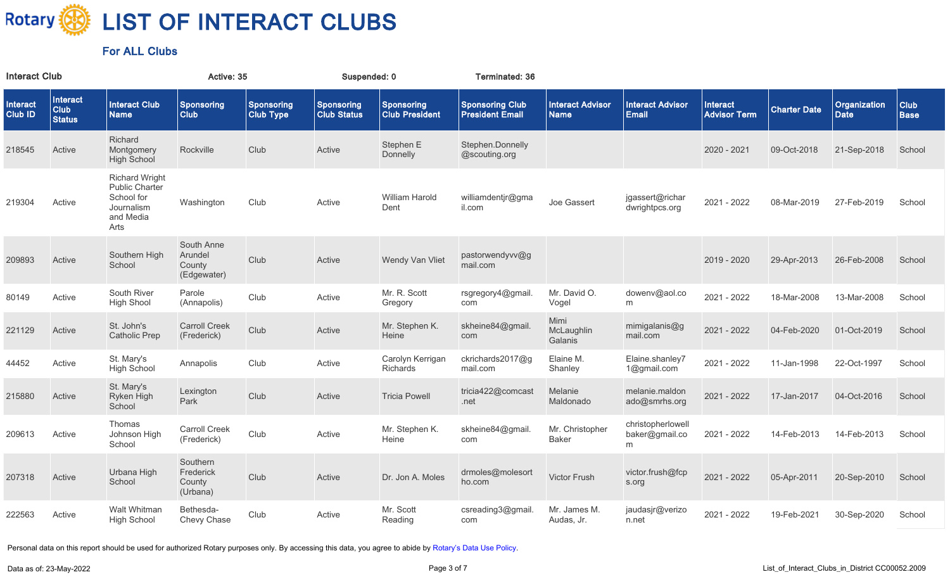

| <b>Interact Club</b>       |                                       |                                                                                                 | Active: 35                                     |                                       | Suspended: 0                     |                                            | Terminated: 36                                   |                                        |                                          |                                        |                     |                                    |                     |
|----------------------------|---------------------------------------|-------------------------------------------------------------------------------------------------|------------------------------------------------|---------------------------------------|----------------------------------|--------------------------------------------|--------------------------------------------------|----------------------------------------|------------------------------------------|----------------------------------------|---------------------|------------------------------------|---------------------|
| Interact<br><b>Club ID</b> | Interact<br>$ $ Club<br><b>Status</b> | <b>Interact Club</b><br><b>Name</b>                                                             | Sponsoring<br><b>Club</b>                      | <b>Sponsoring</b><br><b>Club Type</b> | Sponsoring<br><b>Club Status</b> | <b>Sponsoring</b><br><b>Club President</b> | <b>Sponsoring Club</b><br><b>President Email</b> | <b>Interact Advisor</b><br><b>Name</b> | <b>Interact Advisor</b><br><b>Email</b>  | <b>Interact</b><br><b>Advisor Term</b> | <b>Charter Date</b> | <b>Organization</b><br><b>Date</b> | Club<br><b>Base</b> |
| 218545                     | Active                                | Richard<br>Montgomery<br><b>High School</b>                                                     | Rockville                                      | Club                                  | Active                           | Stephen E<br>Donnelly                      | Stephen.Donnelly<br>@scouting.org                |                                        |                                          | 2020 - 2021                            | 09-Oct-2018         | 21-Sep-2018                        | School              |
| 219304                     | Active                                | <b>Richard Wright</b><br><b>Public Charter</b><br>School for<br>Journalism<br>and Media<br>Arts | Washington                                     | Club                                  | Active                           | William Harold<br>Dent                     | williamdentjr@gma<br>il.com                      | Joe Gassert                            | jgassert@richar<br>dwrightpcs.org        | 2021 - 2022                            | 08-Mar-2019         | 27-Feb-2019                        | School              |
| 209893                     | Active                                | Southern High<br>School                                                                         | South Anne<br>Arundel<br>County<br>(Edgewater) | Club                                  | Active                           | Wendy Van Vliet                            | pastorwendyvv@g<br>mail.com                      |                                        |                                          | 2019 - 2020                            | 29-Apr-2013         | 26-Feb-2008                        | School              |
| 80149                      | Active                                | South River<br><b>High Shool</b>                                                                | Parole<br>(Annapolis)                          | Club                                  | Active                           | Mr. R. Scott<br>Gregory                    | rsgregory4@gmail.<br>com                         | Mr. David O.<br>Vogel                  | dowenv@aol.co<br>m                       | 2021 - 2022                            | 18-Mar-2008         | 13-Mar-2008                        | School              |
| 221129                     | Active                                | St. John's<br><b>Catholic Prep</b>                                                              | <b>Carroll Creek</b><br>(Frederick)            | Club                                  | Active                           | Mr. Stephen K.<br>Heine                    | skheine84@gmail.<br>com                          | Mimi<br>McLaughlin<br>Galanis          | mimigalanis@g<br>mail.com                | 2021 - 2022                            | 04-Feb-2020         | 01-Oct-2019                        | School              |
| 44452                      | Active                                | St. Mary's<br><b>High School</b>                                                                | Annapolis                                      | Club                                  | Active                           | Carolyn Kerrigan<br><b>Richards</b>        | ckrichards2017@g<br>mail.com                     | Elaine M.<br>Shanley                   | Elaine.shanley7<br>1@gmail.com           | 2021 - 2022                            | 11-Jan-1998         | 22-Oct-1997                        | School              |
| 215880                     | Active                                | St. Mary's<br>Ryken High<br>School                                                              | Lexington<br>Park                              | Club                                  | Active                           | <b>Tricia Powell</b>                       | tricia422@comcast<br>.net                        | Melanie<br>Maldonado                   | melanie.maldon<br>ado@smrhs.org          | 2021 - 2022                            | 17-Jan-2017         | 04-Oct-2016                        | School              |
| 209613                     | Active                                | Thomas<br>Johnson High<br>School                                                                | <b>Carroll Creek</b><br>(Frederick)            | Club                                  | Active                           | Mr. Stephen K.<br>Heine                    | skheine84@gmail.<br>com                          | Mr. Christopher<br><b>Baker</b>        | christopherlowell<br>baker@gmail.co<br>m | 2021 - 2022                            | 14-Feb-2013         | 14-Feb-2013                        | School              |
| 207318                     | Active                                | Urbana High<br>School                                                                           | Southern<br>Frederick<br>County<br>(Urbana)    | Club                                  | Active                           | Dr. Jon A. Moles                           | drmoles@molesort<br>ho.com                       | Victor Frush                           | victor.frush@fcp<br>s.org                | 2021 - 2022                            | 05-Apr-2011         | 20-Sep-2010                        | School              |
| 222563                     | Active                                | Walt Whitman<br><b>High School</b>                                                              | Bethesda-<br>Chevy Chase                       | Club                                  | Active                           | Mr. Scott<br>Reading                       | csreading3@gmail.<br>com                         | Mr. James M.<br>Audas, Jr.             | jaudasjr@verizo<br>n.net                 | 2021 - 2022                            | 19-Feb-2021         | 30-Sep-2020                        | School              |